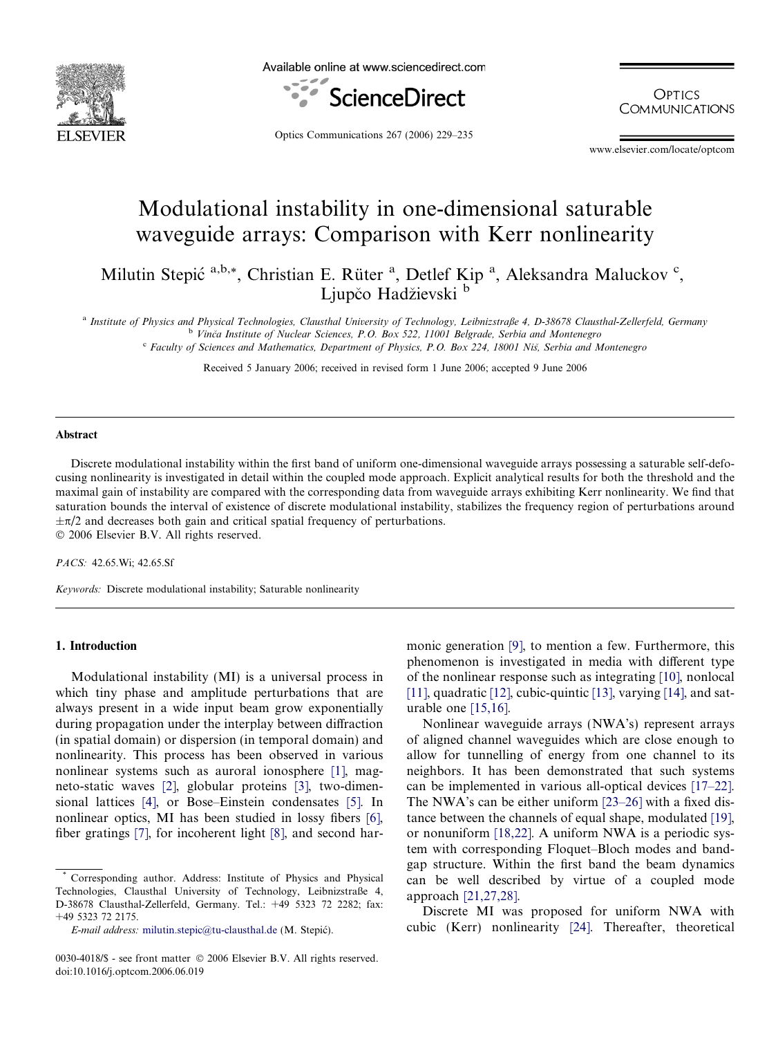

Available online at www.sciencedirect.com



**OPTICS COMMUNICATIONS** 

Optics Communications 267 (2006) 229–235

www.elsevier.com/locate/optcom

# Modulational instability in one-dimensional saturable waveguide arrays: Comparison with Kerr nonlinearity

Milutin Stepić<sup>a,b,\*</sup>, Christian E. Rüter<sup>a</sup>, Detlef Kip<sup>a</sup>, Aleksandra Maluckov<sup>c</sup>, Ljupčo Hadžievski b

a Institute of Physics and Physical Technologies, Clausthal University of Technology, Leibnizstraße 4, D-38678 Clausthal-Zellerfeld, Germany <sup>b</sup> Vinča Institute of Nuclear Sciences, P.O. Box 522, 11001 Belgrade, Serbia and Montenegro

<sup>c</sup> Faculty of Sciences and Mathematics, Department of Physics, P.O. Box 224, 18001 Niš, Serbia and Montenegro

Received 5 January 2006; received in revised form 1 June 2006; accepted 9 June 2006

#### Abstract

Discrete modulational instability within the first band of uniform one-dimensional waveguide arrays possessing a saturable self-defocusing nonlinearity is investigated in detail within the coupled mode approach. Explicit analytical results for both the threshold and the maximal gain of instability are compared with the corresponding data from waveguide arrays exhibiting Kerr nonlinearity. We find that saturation bounds the interval of existence of discrete modulational instability, stabilizes the frequency region of perturbations around  $\pm \pi/2$  and decreases both gain and critical spatial frequency of perturbations. © 2006 Elsevier B.V. All rights reserved.

PACS: 42.65.Wi; 42.65.Sf

Keywords: Discrete modulational instability; Saturable nonlinearity

## 1. Introduction

Modulational instability (MI) is a universal process in which tiny phase and amplitude perturbations that are always present in a wide input beam grow exponentially during propagation under the interplay between diffraction (in spatial domain) or dispersion (in temporal domain) and nonlinearity. This process has been observed in various nonlinear systems such as auroral ionosphere [\[1\]](#page-5-0), magneto-static waves [\[2\],](#page-5-0) globular proteins [\[3\],](#page-5-0) two-dimensional lattices [\[4\]](#page-5-0), or Bose–Einstein condensates [\[5\].](#page-5-0) In nonlinear optics, MI has been studied in lossy fibers [\[6\],](#page-5-0) fiber gratings [\[7\]](#page-5-0), for incoherent light [\[8\],](#page-5-0) and second harmonic generation [\[9\]](#page-5-0), to mention a few. Furthermore, this phenomenon is investigated in media with different type of the nonlinear response such as integrating [\[10\]](#page-5-0), nonlocal [\[11\],](#page-5-0) quadratic [\[12\],](#page-5-0) cubic-quintic [\[13\],](#page-5-0) varying [\[14\],](#page-5-0) and saturable one [\[15,16\].](#page-5-0)

Nonlinear waveguide arrays (NWA's) represent arrays of aligned channel waveguides which are close enough to allow for tunnelling of energy from one channel to its neighbors. It has been demonstrated that such systems can be implemented in various all-optical devices [\[17–22\].](#page-6-0) The NWA's can be either uniform [\[23–26\]](#page-6-0) with a fixed distance between the channels of equal shape, modulated [\[19\],](#page-6-0) or nonuniform [\[18,22\].](#page-6-0) A uniform NWA is a periodic system with corresponding Floquet–Bloch modes and bandgap structure. Within the first band the beam dynamics can be well described by virtue of a coupled mode approach [\[21,27,28\].](#page-6-0)

Discrete MI was proposed for uniform NWA with cubic (Kerr) nonlinearity [\[24\].](#page-6-0) Thereafter, theoretical

Corresponding author. Address: Institute of Physics and Physical Technologies, Clausthal University of Technology, Leibnizstraße 4, D-38678 Clausthal-Zellerfeld, Germany. Tel.: +49 5323 72 2282; fax: +49 5323 72 2175.

 $E$ -mail address: [milutin.stepic@tu-clausthal.de](mailto:milutin.stepic@tu-clausthal.de) (M. Stepić).

<sup>0030-4018/\$ -</sup> see front matter © 2006 Elsevier B.V. All rights reserved. doi:10.1016/j.optcom.2006.06.019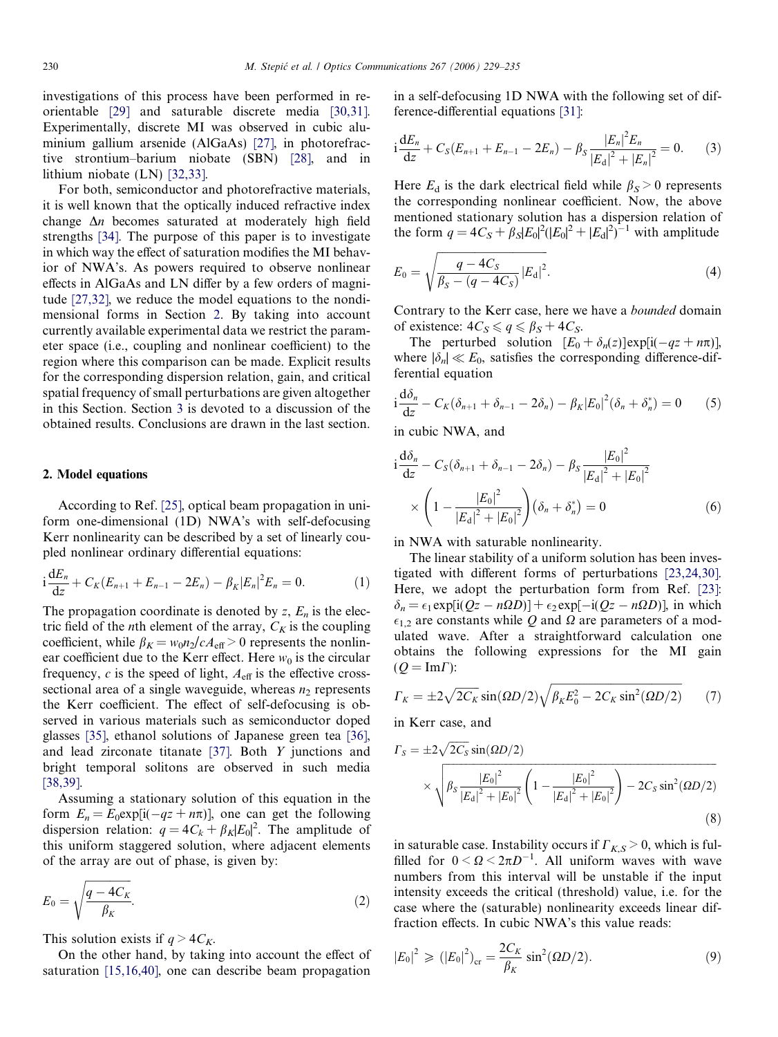<span id="page-1-0"></span>investigations of this process have been performed in reorientable [\[29\]](#page-6-0) and saturable discrete media [\[30,31\]](#page-6-0). Experimentally, discrete MI was observed in cubic aluminium gallium arsenide (AlGaAs) [\[27\]](#page-6-0), in photorefractive strontium–barium niobate (SBN) [\[28\],](#page-6-0) and in lithium niobate (LN) [\[32,33\].](#page-6-0)

For both, semiconductor and photorefractive materials, it is well known that the optically induced refractive index change  $\Delta n$  becomes saturated at moderately high field strengths [\[34\].](#page-6-0) The purpose of this paper is to investigate in which way the effect of saturation modifies the MI behavior of NWA's. As powers required to observe nonlinear effects in AlGaAs and LN differ by a few orders of magnitude [\[27,32\],](#page-6-0) we reduce the model equations to the nondimensional forms in Section 2. By taking into account currently available experimental data we restrict the parameter space (i.e., coupling and nonlinear coefficient) to the region where this comparison can be made. Explicit results for the corresponding dispersion relation, gain, and critical spatial frequency of small perturbations are given altogether in this Section. Section [3](#page-3-0) is devoted to a discussion of the obtained results. Conclusions are drawn in the last section.

## 2. Model equations

According to Ref. [\[25\],](#page-6-0) optical beam propagation in uniform one-dimensional (1D) NWA's with self-defocusing Kerr nonlinearity can be described by a set of linearly coupled nonlinear ordinary differential equations:

$$
i\frac{dE_n}{dz} + C_K(E_{n+1} + E_{n-1} - 2E_n) - \beta_K |E_n|^2 E_n = 0.
$$
 (1)

The propagation coordinate is denoted by  $z$ ,  $E_n$  is the electric field of the *n*th element of the array,  $C_K$  is the coupling coefficient, while  $\beta_K = w_0 n_2/cA_{\text{eff}} > 0$  represents the nonlinear coefficient due to the Kerr effect. Here  $w_0$  is the circular frequency,  $c$  is the speed of light,  $A_{\text{eff}}$  is the effective crosssectional area of a single waveguide, whereas  $n_2$  represents the Kerr coefficient. The effect of self-defocusing is observed in various materials such as semiconductor doped glasses [\[35\],](#page-6-0) ethanol solutions of Japanese green tea [\[36\]](#page-6-0), and lead zirconate titanate [\[37\].](#page-6-0) Both Y junctions and bright temporal solitons are observed in such media [\[38,39\].](#page-6-0)

Assuming a stationary solution of this equation in the form  $E_n = E_0 \exp[i(-qz + n\pi)]$ , one can get the following dispersion relation:  $q = 4C_k + \beta_k |E_0|^2$ . The amplitude of this uniform staggered solution, where adjacent elements of the array are out of phase, is given by:

$$
E_0 = \sqrt{\frac{q - 4C_K}{\beta_K}}.\tag{2}
$$

This solution exists if  $q > 4C_K$ .

On the other hand, by taking into account the effect of saturation [\[15,16,40\],](#page-5-0) one can describe beam propagation

in a self-defocusing 1D NWA with the following set of difference-differential equations [\[31\]](#page-6-0):

$$
i\frac{dE_n}{dz} + C_S(E_{n+1} + E_{n-1} - 2E_n) - \beta_S \frac{|E_n|^2 E_n}{|E_\mathbf{d}|^2 + |E_n|^2} = 0.
$$
 (3)

Here  $E_d$  is the dark electrical field while  $\beta_S > 0$  represents the corresponding nonlinear coefficient. Now, the above mentioned stationary solution has a dispersion relation of the form  $q = 4C_s + \beta_s |E_0|^2 (|E_0|^2 + |E_d|^2)^{-1}$  with amplitude

$$
E_0 = \sqrt{\frac{q - 4C_S}{\beta_S - (q - 4C_S)} |E_d|^2}.
$$
\n(4)

Contrary to the Kerr case, here we have a bounded domain of existence:  $4C_S \leqslant q \leqslant \beta_S + 4C_S$ .

The perturbed solution  $[E_0 + \delta_n(z)] \exp[i(-qz + n\pi)],$ where  $|\delta_n| \ll E_0$ , satisfies the corresponding difference-differential equation

$$
i\frac{d\delta_n}{dz} - C_K(\delta_{n+1} + \delta_{n-1} - 2\delta_n) - \beta_K |E_0|^2 (\delta_n + \delta_n^*) = 0 \qquad (5)
$$

in cubic NWA, and

$$
i\frac{d\delta_n}{dz} - C_S(\delta_{n+1} + \delta_{n-1} - 2\delta_n) - \beta_S \frac{|E_0|^2}{|E_d|^2 + |E_0|^2} \times \left(1 - \frac{|E_0|^2}{|E_d|^2 + |E_0|^2}\right)(\delta_n + \delta_n^*) = 0 \tag{6}
$$

in NWA with saturable nonlinearity.

The linear stability of a uniform solution has been investigated with different forms of perturbations [\[23,24,30\]](#page-6-0). Here, we adopt the perturbation form from Ref. [\[23\]](#page-6-0):  $\delta_n = \epsilon_1 \exp[i(Qz - n\Omega D)] + \epsilon_2 \exp[-i(Qz - n\Omega D)]$ , in which  $\epsilon_{1,2}$  are constants while Q and  $\Omega$  are parameters of a modulated wave. After a straightforward calculation one obtains the following expressions for the MI gain  $(Q = \text{Im}\Gamma)$ :

$$
\Gamma_K = \pm 2\sqrt{2C_K} \sin(\Omega D/2) \sqrt{\beta_K E_0^2 - 2C_K \sin^2(\Omega D/2)} \tag{7}
$$

in Kerr case, and

$$
\Gamma_{S} = \pm 2\sqrt{2C_{S}} \sin(\Omega D/2)
$$
  
 
$$
\times \sqrt{\beta_{S} \frac{|E_{0}|^{2}}{|E_{d}|^{2} + |E_{0}|^{2}} \left(1 - \frac{|E_{0}|^{2}}{|E_{d}|^{2} + |E_{0}|^{2}}\right) - 2C_{S} \sin^{2}(\Omega D/2)}
$$
(8)

in saturable case. Instability occurs if  $\Gamma_{K,S} > 0$ , which is fulfilled for  $0 < \Omega < 2\pi D^{-1}$ . All uniform waves with wave numbers from this interval will be unstable if the input intensity exceeds the critical (threshold) value, i.e. for the case where the (saturable) nonlinearity exceeds linear diffraction effects. In cubic NWA's this value reads:

$$
|E_0|^2 \ge (|E_0|^2)_{\rm cr} = \frac{2C_K}{\beta_K} \sin^2(\Omega D/2). \tag{9}
$$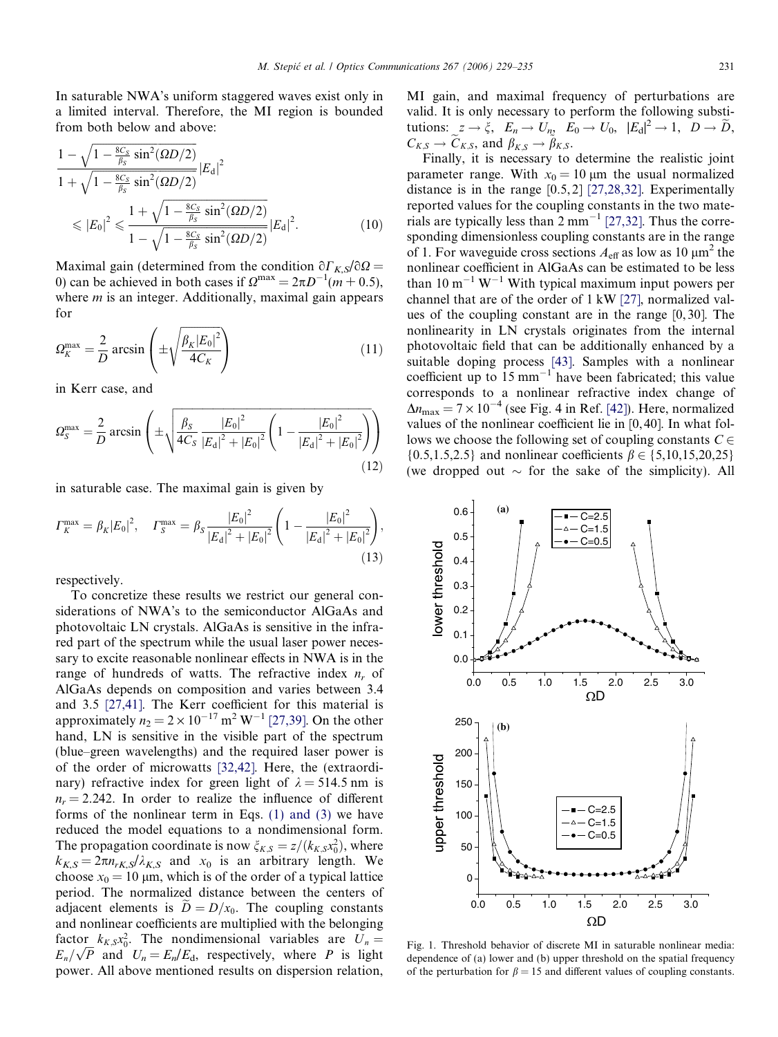<span id="page-2-0"></span>In saturable NWA's uniform staggered waves exist only in a limited interval. Therefore, the MI region is bounded from both below and above:

$$
\frac{1 - \sqrt{1 - \frac{8C_S}{\beta_S} \sin^2(\Omega D/2)}}{1 + \sqrt{1 - \frac{8C_S}{\beta_S} \sin^2(\Omega D/2)}} |E_d|^2
$$
\n
$$
\leq |E_0|^2 \leq \frac{1 + \sqrt{1 - \frac{8C_S}{\beta_S} \sin^2(\Omega D/2)}}{1 - \sqrt{1 - \frac{8C_S}{\beta_S} \sin^2(\Omega D/2)}} |E_d|^2. \tag{10}
$$

Maximal gain (determined from the condition  $\partial \Gamma_{K,S}/\partial \Omega =$ 0) can be achieved in both cases if  $\Omega^{\text{max}} = 2\pi D^{-1}(m + 0.5)$ , where  $m$  is an integer. Additionally, maximal gain appears for

$$
\Omega_K^{\max} = \frac{2}{D} \arcsin \left( \pm \sqrt{\frac{\beta_K |E_0|^2}{4C_K}} \right) \tag{11}
$$

in Kerr case, and

$$
\Omega_S^{\max} = \frac{2}{D} \arcsin \left( \pm \sqrt{\frac{\beta_S}{4C_S} \frac{|E_0|^2}{|E_\text{d}|^2 + |E_0|^2} \left( 1 - \frac{|E_0|^2}{|E_\text{d}|^2 + |E_0|^2} \right) \right)
$$
\n(12)

in saturable case. The maximal gain is given by

$$
\Gamma_K^{\max} = \beta_K |E_0|^2, \quad \Gamma_S^{\max} = \beta_S \frac{|E_0|^2}{|E_\text{d}|^2 + |E_0|^2} \left(1 - \frac{|E_0|^2}{|E_\text{d}|^2 + |E_0|^2}\right),\tag{13}
$$

respectively.

To concretize these results we restrict our general considerations of NWA's to the semiconductor AlGaAs and photovoltaic LN crystals. AlGaAs is sensitive in the infrared part of the spectrum while the usual laser power necessary to excite reasonable nonlinear effects in NWA is in the range of hundreds of watts. The refractive index  $n_r$  of AlGaAs depends on composition and varies between 3.4 and 3.5 [\[27,41\].](#page-6-0) The Kerr coefficient for this material is approximately  $n_2 = 2 \times 10^{-17} \text{ m}^2 \text{ W}^{-1}$  [\[27,39\].](#page-6-0) On the other hand, LN is sensitive in the visible part of the spectrum (blue–green wavelengths) and the required laser power is of the order of microwatts [\[32,42\].](#page-6-0) Here, the (extraordinary) refractive index for green light of  $\lambda = 514.5$  nm is  $n_r = 2.242$ . In order to realize the influence of different forms of the nonlinear term in Eqs. [\(1\) and \(3\)](#page-1-0) we have reduced the model equations to a nondimensional form. The propagation coordinate is now  $\xi_{K,S} = z/(k_{K,S} x_0^2)$ , where  $k_{K,S} = 2\pi n_{rK,S}/\lambda_{K,S}$  and  $x_0$  is an arbitrary length. We choose  $x_0 = 10 \mu m$ , which is of the order of a typical lattice period. The normalized distance between the centers of adjacent elements is  $D = D/x_0$ . The coupling constants and nonlinear coefficients are multiplied with the belonging factor  $k_{K,S}x_0^2$ . The nondimensional variables are  $U_n =$ ractor  $\kappa_{K,S}x_{0}$ . The nondmensional variables are  $U_{n} = E_{n}/\sqrt{P}$  and  $U_{n} = E_{n}/E_{d}$ , respectively, where *P* is light power. All above mentioned results on dispersion relation,

MI gain, and maximal frequency of perturbations are valid. It is only necessary to perform the following substitutions:  $z \to \xi$ ,  $E_n \to U_n$ ,  $E_0 \to U_0$ ,  $|E_d|^2 \to 1$ ,  $D \to \widetilde{D}$ ,  $C_{K,S} \to \widetilde{C}_{K,S}$ , and  $\beta_{K,S} \to \widetilde{\beta}_{K,S}$ .

Finally, it is necessary to determine the realistic joint parameter range. With  $x_0 = 10 \mu m$  the usual normalized distance is in the range [0.5, 2] [\[27,28,32\].](#page-6-0) Experimentally reported values for the coupling constants in the two materials are typically less than  $2 \text{ mm}^{-1}$  [\[27,32\]](#page-6-0). Thus the corresponding dimensionless coupling constants are in the range of 1. For waveguide cross sections  $A_{\text{eff}}$  as low as 10  $\mu$ m<sup>2</sup> the nonlinear coefficient in AlGaAs can be estimated to be less than 10  $m^{-1}$  W<sup>-1</sup> With typical maximum input powers per channel that are of the order of 1 kW [\[27\]](#page-6-0), normalized values of the coupling constant are in the range [0, 30]. The nonlinearity in LN crystals originates from the internal photovoltaic field that can be additionally enhanced by a suitable doping process [\[43\].](#page-6-0) Samples with a nonlinear coefficient up to  $15 \text{ mm}^{-1}$  have been fabricated; this value corresponds to a nonlinear refractive index change of  $\Delta n_{\text{max}} = 7 \times 10^{-4}$  (see Fig. 4 in Ref. [\[42\]](#page-6-0)). Here, normalized values of the nonlinear coefficient lie in [0, 40]. In what follows we choose the following set of coupling constants  $C \in$  ${0.5, 1.5, 2.5}$  and nonlinear coefficients  $\beta \in \{5, 10, 15, 20, 25\}$ (we dropped out  $\sim$  for the sake of the simplicity). All



Fig. 1. Threshold behavior of discrete MI in saturable nonlinear media: dependence of (a) lower and (b) upper threshold on the spatial frequency of the perturbation for  $\beta = 15$  and different values of coupling constants.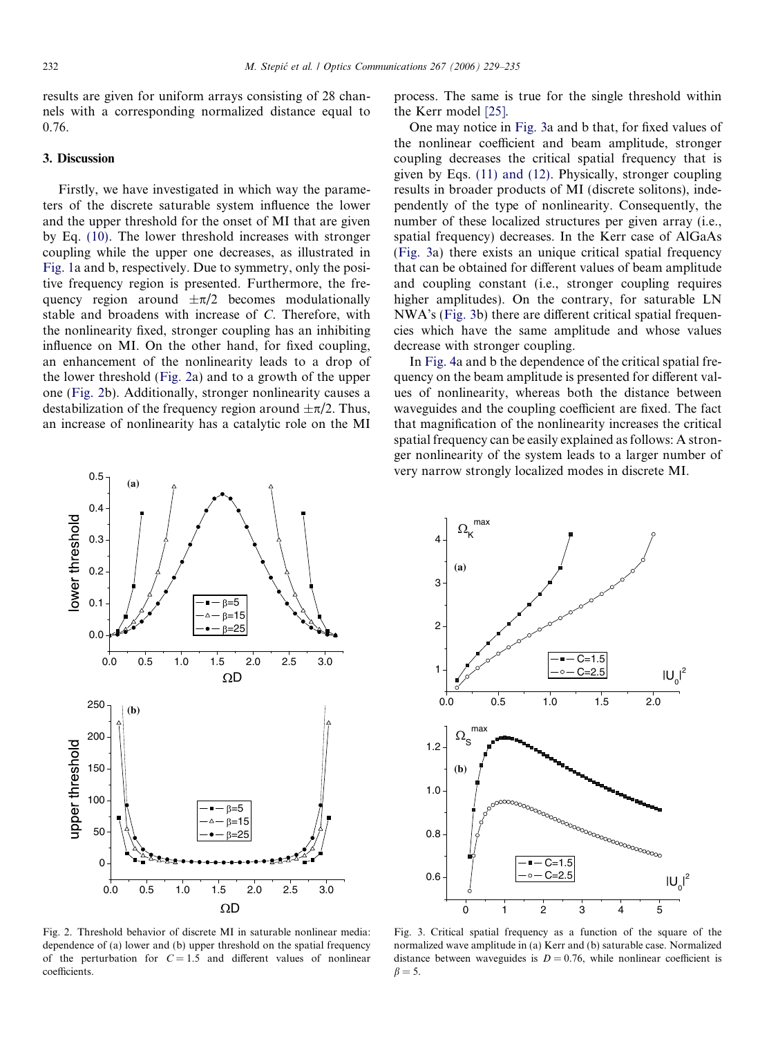<span id="page-3-0"></span>results are given for uniform arrays consisting of 28 channels with a corresponding normalized distance equal to 0.76.

#### 3. Discussion

Firstly, we have investigated in which way the parameters of the discrete saturable system influence the lower and the upper threshold for the onset of MI that are given by Eq. [\(10\)](#page-2-0). The lower threshold increases with stronger coupling while the upper one decreases, as illustrated in [Fig. 1](#page-2-0)a and b, respectively. Due to symmetry, only the positive frequency region is presented. Furthermore, the frequency region around  $\pm \pi/2$  becomes modulationally stable and broadens with increase of C. Therefore, with the nonlinearity fixed, stronger coupling has an inhibiting influence on MI. On the other hand, for fixed coupling, an enhancement of the nonlinearity leads to a drop of the lower threshold (Fig. 2a) and to a growth of the upper one (Fig. 2b). Additionally, stronger nonlinearity causes a destabilization of the frequency region around  $\pm \pi/2$ . Thus, an increase of nonlinearity has a catalytic role on the MI



Fig. 2. Threshold behavior of discrete MI in saturable nonlinear media: dependence of (a) lower and (b) upper threshold on the spatial frequency of the perturbation for  $C = 1.5$  and different values of nonlinear coefficients.

process. The same is true for the single threshold within the Kerr model [\[25\].](#page-6-0)

One may notice in Fig. 3a and b that, for fixed values of the nonlinear coefficient and beam amplitude, stronger coupling decreases the critical spatial frequency that is given by Eqs. [\(11\) and \(12\)](#page-2-0). Physically, stronger coupling results in broader products of MI (discrete solitons), independently of the type of nonlinearity. Consequently, the number of these localized structures per given array (i.e., spatial frequency) decreases. In the Kerr case of AlGaAs (Fig. 3a) there exists an unique critical spatial frequency that can be obtained for different values of beam amplitude and coupling constant (i.e., stronger coupling requires higher amplitudes). On the contrary, for saturable LN NWA's (Fig. 3b) there are different critical spatial frequencies which have the same amplitude and whose values decrease with stronger coupling.

In [Fig. 4a](#page-4-0) and b the dependence of the critical spatial frequency on the beam amplitude is presented for different values of nonlinearity, whereas both the distance between waveguides and the coupling coefficient are fixed. The fact that magnification of the nonlinearity increases the critical spatial frequency can be easily explained as follows: A stronger nonlinearity of the system leads to a larger number of very narrow strongly localized modes in discrete MI.



Fig. 3. Critical spatial frequency as a function of the square of the normalized wave amplitude in (a) Kerr and (b) saturable case. Normalized distance between waveguides is  $D = 0.76$ , while nonlinear coefficient is  $\beta = 5$ .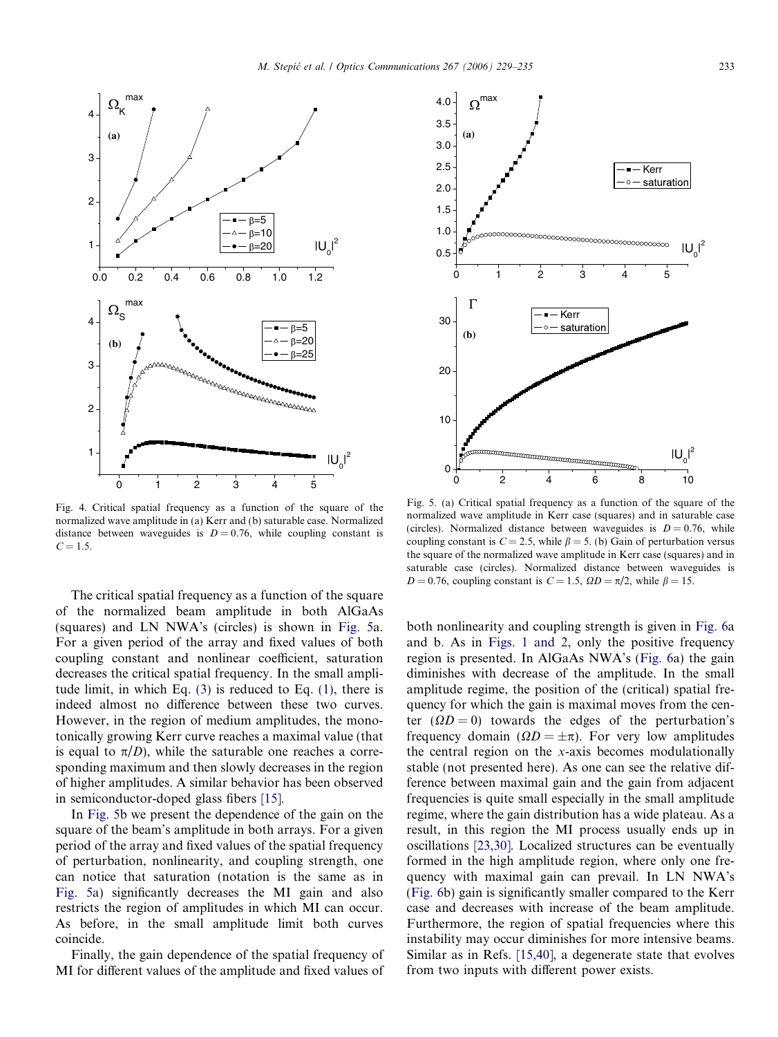<span id="page-4-0"></span>

Fig. 4. Critical spatial frequency as a function of the square of the normalized wave amplitude in (a) Kerr and (b) saturable case. Normalized distance between waveguides is  $D = 0.76$ , while coupling constant is  $C = 1.5.$ 

The critical spatial frequency as a function of the square of the normalized beam amplitude in both AlGaAs (squares) and LN NWA's (circles) is shown in Fig. 5a. For a given period of the array and fixed values of both coupling constant and nonlinear coefficient, saturation decreases the critical spatial frequency. In the small amplitude limit, in which Eq. [\(3\)](#page-1-0) is reduced to Eq. [\(1\),](#page-1-0) there is indeed almost no difference between these two curves. However, in the region of medium amplitudes, the monotonically growing Kerr curve reaches a maximal value (that is equal to  $\pi/D$ ), while the saturable one reaches a corresponding maximum and then slowly decreases in the region of higher amplitudes. A similar behavior has been observed in semiconductor-doped glass fibers [\[15\]](#page-5-0).

In Fig. 5b we present the dependence of the gain on the square of the beam's amplitude in both arrays. For a given period of the array and fixed values of the spatial frequency of perturbation, nonlinearity, and coupling strength, one can notice that saturation (notation is the same as in Fig. 5a) significantly decreases the MI gain and also restricts the region of amplitudes in which MI can occur. As before, in the small amplitude limit both curves coincide.

Finally, the gain dependence of the spatial frequency of MI for different values of the amplitude and fixed values of



Fig. 5. (a) Critical spatial frequency as a function of the square of the normalized wave amplitude in Kerr case (squares) and in saturable case (circles). Normalized distance between waveguides is  $D = 0.76$ , while coupling constant is  $C = 2.5$ , while  $\beta = 5$ . (b) Gain of perturbation versus the square of the normalized wave amplitude in Kerr case (squares) and in saturable case (circles). Normalized distance between waveguides is  $D = 0.76$ , coupling constant is  $C = 1.5$ ,  $\Omega D = \pi/2$ , while  $\beta = 15$ .

both nonlinearity and coupling strength is given in [Fig. 6a](#page-5-0) and b. As in [Figs. 1 and 2,](#page-2-0) only the positive frequency region is presented. In AlGaAs NWA's [\(Fig. 6a](#page-5-0)) the gain diminishes with decrease of the amplitude. In the small amplitude regime, the position of the (critical) spatial frequency for which the gain is maximal moves from the center  $(\Omega D = 0)$  towards the edges of the perturbation's frequency domain ( $\Omega D = \pm \pi$ ). For very low amplitudes the central region on the x-axis becomes modulationally stable (not presented here). As one can see the relative difference between maximal gain and the gain from adjacent frequencies is quite small especially in the small amplitude regime, where the gain distribution has a wide plateau. As a result, in this region the MI process usually ends up in oscillations [\[23,30\].](#page-6-0) Localized structures can be eventually formed in the high amplitude region, where only one frequency with maximal gain can prevail. In LN NWA's ([Fig. 6b](#page-5-0)) gain is significantly smaller compared to the Kerr case and decreases with increase of the beam amplitude. Furthermore, the region of spatial frequencies where this instability may occur diminishes for more intensive beams. Similar as in Refs. [\[15,40\],](#page-5-0) a degenerate state that evolves from two inputs with different power exists.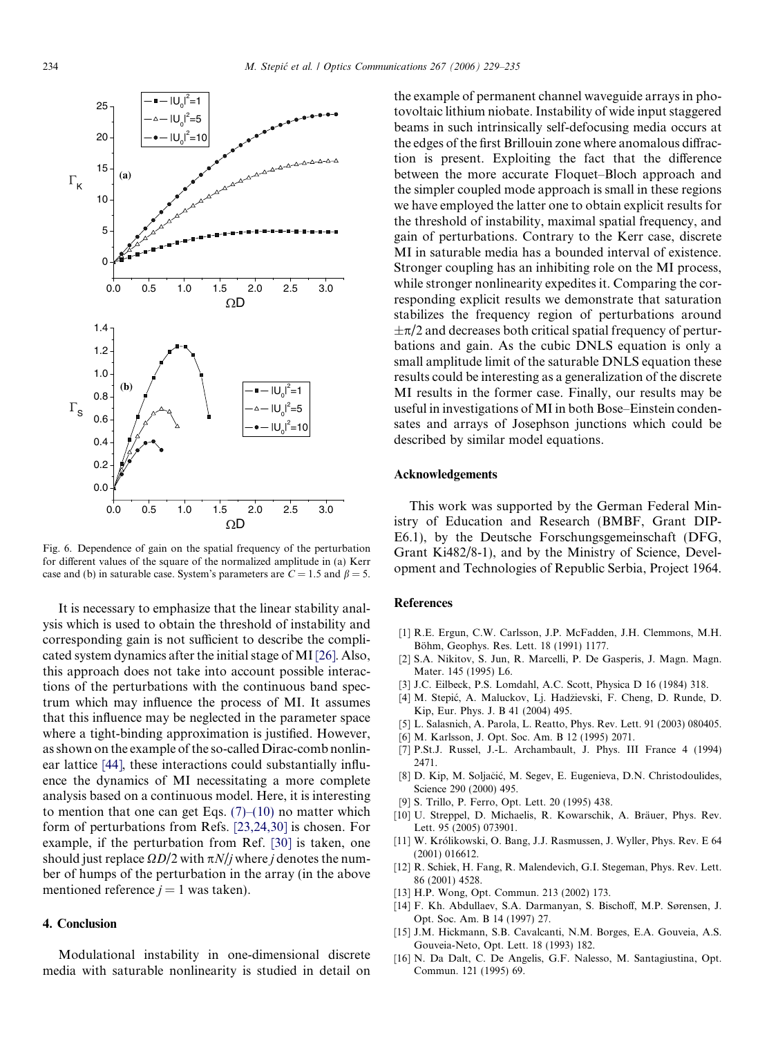<span id="page-5-0"></span>

Fig. 6. Dependence of gain on the spatial frequency of the perturbation for different values of the square of the normalized amplitude in (a) Kerr case and (b) in saturable case. System's parameters are  $C = 1.5$  and  $\beta = 5$ .

It is necessary to emphasize that the linear stability analysis which is used to obtain the threshold of instability and corresponding gain is not sufficient to describe the complicated system dynamics after the initial stage of MI[\[26\].](#page-6-0) Also, this approach does not take into account possible interactions of the perturbations with the continuous band spectrum which may influence the process of MI. It assumes that this influence may be neglected in the parameter space where a tight-binding approximation is justified. However, as shown on the example of the so-called Dirac-comb nonlinear lattice [\[44\]](#page-6-0), these interactions could substantially influence the dynamics of MI necessitating a more complete analysis based on a continuous model. Here, it is interesting to mention that one can get Eqs.  $(7)$ – $(10)$  no matter which form of perturbations from Refs. [\[23,24,30\]](#page-6-0) is chosen. For example, if the perturbation from Ref. [\[30\]](#page-6-0) is taken, one should just replace  $\Omega D/2$  with  $\pi N/j$  where j denotes the number of humps of the perturbation in the array (in the above mentioned reference  $j = 1$  was taken).

## 4. Conclusion

Modulational instability in one-dimensional discrete media with saturable nonlinearity is studied in detail on the example of permanent channel waveguide arrays in photovoltaic lithium niobate. Instability of wide input staggered beams in such intrinsically self-defocusing media occurs at the edges of the first Brillouin zone where anomalous diffraction is present. Exploiting the fact that the difference between the more accurate Floquet–Bloch approach and the simpler coupled mode approach is small in these regions we have employed the latter one to obtain explicit results for the threshold of instability, maximal spatial frequency, and gain of perturbations. Contrary to the Kerr case, discrete MI in saturable media has a bounded interval of existence. Stronger coupling has an inhibiting role on the MI process, while stronger nonlinearity expedites it. Comparing the corresponding explicit results we demonstrate that saturation stabilizes the frequency region of perturbations around  $\pm \pi/2$  and decreases both critical spatial frequency of perturbations and gain. As the cubic DNLS equation is only a small amplitude limit of the saturable DNLS equation these results could be interesting as a generalization of the discrete MI results in the former case. Finally, our results may be useful in investigations of MI in both Bose–Einstein condensates and arrays of Josephson junctions which could be described by similar model equations.

#### Acknowledgements

This work was supported by the German Federal Ministry of Education and Research (BMBF, Grant DIP-E6.1), by the Deutsche Forschungsgemeinschaft (DFG, Grant Ki482/8-1), and by the Ministry of Science, Development and Technologies of Republic Serbia, Project 1964.

#### References

- [1] R.E. Ergun, C.W. Carlsson, J.P. McFadden, J.H. Clemmons, M.H. Böhm, Geophys. Res. Lett. 18 (1991) 1177.
- [2] S.A. Nikitov, S. Jun, R. Marcelli, P. De Gasperis, J. Magn. Magn. Mater. 145 (1995) L6.
- [3] J.C. Eilbeck, P.S. Lomdahl, A.C. Scott, Physica D 16 (1984) 318.
- [4] M. Stepić, A. Maluckov, Lj. Hadžievski, F. Cheng, D. Runde, D. Kip, Eur. Phys. J. B 41 (2004) 495.
- [5] L. Salasnich, A. Parola, L. Reatto, Phys. Rev. Lett. 91 (2003) 080405.
- [6] M. Karlsson, J. Opt. Soc. Am. B 12 (1995) 2071.
- [7] P.St.J. Russel, J.-L. Archambault, J. Phys. III France 4 (1994) 2471.
- [8] D. Kip, M. Soljačić, M. Segev, E. Eugenieva, D.N. Christodoulides, Science 290 (2000) 495.
- [9] S. Trillo, P. Ferro, Opt. Lett. 20 (1995) 438.
- [10] U. Streppel, D. Michaelis, R. Kowarschik, A. Bräuer, Phys. Rev. Lett. 95 (2005) 073901.
- [11] W. Królikowski, O. Bang, J.J. Rasmussen, J. Wyller, Phys. Rev. E 64 (2001) 016612.
- [12] R. Schiek, H. Fang, R. Malendevich, G.I. Stegeman, Phys. Rev. Lett. 86 (2001) 4528.
- [13] H.P. Wong, Opt. Commun. 213 (2002) 173.
- [14] F. Kh. Abdullaev, S.A. Darmanyan, S. Bischoff, M.P. Sørensen, J. Opt. Soc. Am. B 14 (1997) 27.
- [15] J.M. Hickmann, S.B. Cavalcanti, N.M. Borges, E.A. Gouveia, A.S. Gouveia-Neto, Opt. Lett. 18 (1993) 182.
- [16] N. Da Dalt, C. De Angelis, G.F. Nalesso, M. Santagiustina, Opt. Commun. 121 (1995) 69.